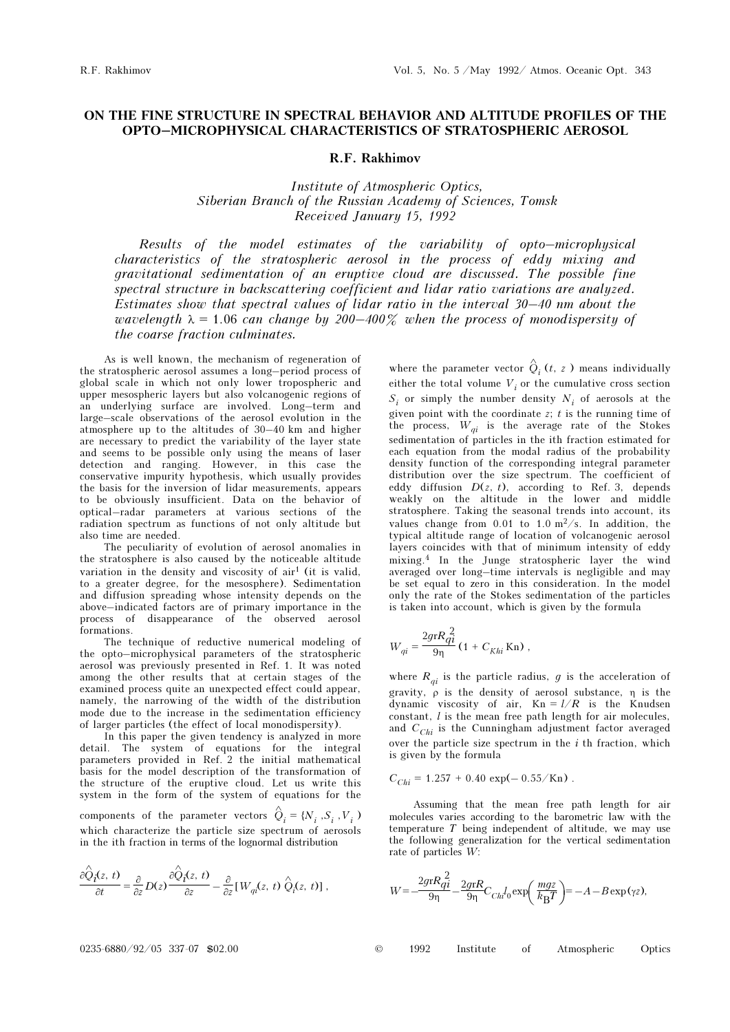## ON THE FINE STRUCTURE IN SPECTRAL BEHAVIOR AND ALTITUDE PROFILES OF THE OPTO–MICROPHYSICAL CHARACTERISTICS OF STRATOSPHERIC AEROSOL

## R.F. Rakhimov

Institute of Atmospheric Optics, Siberian Branch of the Russian Academy of Sciences, Tomsk Received January 15, 1992

Results of the model estimates of the variability of opto–microphysical characteristics of the stratospheric aerosol in the process of eddy mixing and gravitational sedimentation of an eruptive cloud are discussed. The possible fine spectral structure in backscattering coefficient and lidar ratio variations are analyzed. Estimates show that spectral values of lidar ratio in the interval 30–40 nm about the wavelength  $\lambda = 1.06$  can change by 200-400% when the process of monodispersity of the coarse fraction culminates.

As is well known, the mechanism of regeneration of the stratospheric aerosol assumes a long–period process of global scale in which not only lower tropospheric and upper mesospheric layers but also volcanogenic regions of an underlying surface are involved. Long–term and large–scale observations of the aerosol evolution in the atmosphere up to the altitudes of 30–40 km and higher are necessary to predict the variability of the layer state and seems to be possible only using the means of laser detection and ranging. However, in this case the conservative impurity hypothesis, which usually provides the basis for the inversion of lidar measurements, appears to be obviously insufficient. Data on the behavior of optical–radar parameters at various sections of the radiation spectrum as functions of not only altitude but also time are needed.

The peculiarity of evolution of aerosol anomalies in the stratosphere is also caused by the noticeable altitude variation in the density and viscosity of  $air<sup>1</sup>$  (it is valid, to a greater degree, for the mesosphere). Sedimentation and diffusion spreading whose intensity depends on the above–indicated factors are of primary importance in the process of disappearance of the observed aerosol formations.

The technique of reductive numerical modeling of the opto–microphysical parameters of the stratospheric aerosol was previously presented in Ref. 1. It was noted among the other results that at certain stages of the examined process quite an unexpected effect could appear, namely, the narrowing of the width of the distribution mode due to the increase in the sedimentation efficiency of larger particles (the effect of local monodispersity).

In this paper the given tendency is analyzed in more detail. The system of equations for the integral parameters provided in Ref. 2 the initial mathematical basis for the model description of the transformation of the structure of the eruptive cloud. Let us write this system in the form of the system of equations for the

components of the parameter vectors  $\hat{Q}_i = \{N_i^-, S_i^-, V_i^-\}$ which characterize the particle size spectrum of aerosols in the ith fraction in terms of the lognormal distribution

$$
\frac{\partial \hat{Q}_{\pmb{i}}(z,\,t)}{\partial t} = \frac{\partial}{\partial z} D(z) \frac{\partial \hat{Q}_{\pmb{i}}(z,\,t)}{\partial z} - \frac{\partial}{\partial z} [W_{q\pmb{i}}(z,\,t)\; \hat{Q}_{\pmb{i}}(z,\,t)]\;,
$$

where the parameter vector  $\hat{Q}_i(t, z)$  means individually either the total volume  $V_i$  or the cumulative cross section  $S_i$  or simply the number density  $N_i$  of aerosols at the given point with the coordinate  $z$ ;  $t$  is the running time of the process,  $W_{qi}$  is the average rate of the Stokes sedimentation of particles in the ith fraction estimated for each equation from the modal radius of the probability density function of the corresponding integral parameter distribution over the size spectrum. The coefficient of eddy diffusion  $D(z, t)$ , according to Ref. 3, depends weakly on the altitude in the lower and middle stratosphere. Taking the seasonal trends into account, its values change from 0.01 to 1.0  $m^2/s$ . In addition, the typical altitude range of location of volcanogenic aerosol layers coincides with that of minimum intensity of eddy mixing.4 In the Junge stratospheric layer the wind averaged over long–time intervals is negligible and may be set equal to zero in this consideration. In the model only the rate of the Stokes sedimentation of the particles is taken into account, which is given by the formula

$$
W_{qi} = \frac{2grR_{qi}^{2}}{9\eta} (1 + C_{Khi} \text{Kn}),
$$

where  $R_{qi}$  is the particle radius, g is the acceleration of gravity,  $\rho$  is the density of aerosol substance,  $\eta$  is the dynamic viscosity of air,  $Kn = l/R$  is the Knudsen constant,  $l$  is the mean free path length for air molecules, and  $C_{Chi}$  is the Cunningham adjustment factor averaged over the particle size spectrum in the  $i$  th fraction, which is given by the formula

$$
C_{Chi} = 1.257 + 0.40 \, \exp(-0.55 / \text{Kn}).
$$

Assuming that the mean free path length for air molecules varies according to the barometric law with the temperature  $T$  being independent of altitude, we may use the following generalization for the vertical sedimentation rate of particles W:

$$
W\!=\!-\!\frac{2gr R_{\!f\!f}^{\;2}}{9\eta}\!-\!\frac{2gr R}{9\eta}C_{\!Ch\!f\!f_0}\!\exp\!\!\left(\,\frac{mg z}{k_{\rm B}T}\right)\!\!=\!-A-B\exp\left(\gamma z\right)\!,
$$

0235-6880/92/05 337-07 \$02.00 © 1992 Institute of Atmospheric Optics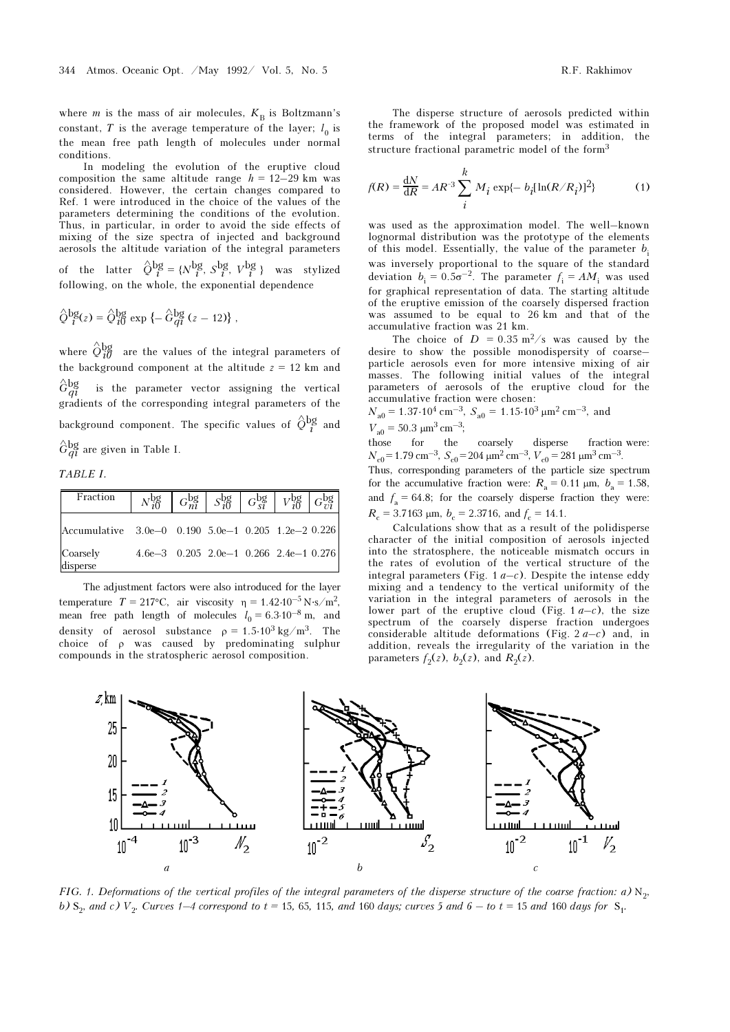where *m* is the mass of air molecules,  $K_B$  is Boltzmann's constant, T is the average temperature of the layer;  $l_0$  is the mean free path length of molecules under normal conditions.

In modeling the evolution of the eruptive cloud composition the same altitude range  $h = 12-29$  km was considered. However, the certain changes compared to Ref. 1 were introduced in the choice of the values of the parameters determining the conditions of the evolution. Thus, in particular, in order to avoid the side effects of mixing of the size spectra of injected and background aerosols the altitude variation of the integral parameters

of the latter  $\hat{Q}_{i}^{\text{bg}} = \{N_{i}^{\text{bg}}, S_{i}^{\text{bg}}, V_{i}^{\text{bg}}\}$  was stylized following, on the whole, the exponential dependence

$$
\hat{Q}^{bg}_i(z) = \hat{Q}^{bg}_{i0} \exp \left\{-\hat{G}^{bg}_{qi}(z-12)\right\},\,
$$

where  $\hat{Q}^{\text{bg}}_{i\vec{\theta}}$  are the values of the integral parameters of the background component at the altitude  $z = 12$  km and  $\hat{G}_{qi}^{bg}$ is the parameter vector assigning the vertical gradients of the corresponding integral parameters of the background component. The specific values of  $\hat{\mathcal{Q}}_{\,\,l}^{\rm bg}$  and  $\hat{G}^{\text{bg}}_{qi}$  are given in Table I.

TABLE I.

| Fraction                                            |                                          |  |  |  |
|-----------------------------------------------------|------------------------------------------|--|--|--|
| Accumulative 3.0e-0 0.190 5.0e-1 0.205 1.2e-2 0.226 |                                          |  |  |  |
| Coarsely<br>disperse                                | $4.6e-3$ 0.205 2.0e-1 0.266 2.4e-1 0.276 |  |  |  |

The adjustment factors were also introduced for the layer temperature  $T = 217$ °C, air viscosity  $\eta = 1.42 \cdot 10^{-5} \text{ N} \cdot \text{s} / \text{m}^2$ , mean free path length of molecules  $l_0 = 6.3 \cdot 10^{-8}$  m, and density of aerosol substance  $\rho = 1.5 \cdot 10^3 \text{ kg/m}^3$ . The choice of ρ was caused by predominating sulphur compounds in the stratospheric aerosol composition.

The disperse structure of aerosols predicted within the framework of the proposed model was estimated in terms of the integral parameters; in addition, the structure fractional parametric model of the form<sup>3</sup>

$$
f(R) = \frac{dN}{dR} = AR^{-3} \sum_{i}^{k} M_{i} \exp\{-b_{i}[ln(R/R_{i})]^{2}\}
$$
 (1)

was used as the approximation model. The well–known lognormal distribution was the prototype of the elements of this model. Essentially, the value of the parameter  $b_i$ was inversely proportional to the square of the standard deviation  $b_i = 0.5\sigma^{-2}$ . The parameter  $f_i = AM_i$  was used for graphical representation of data. The starting altitude of the eruptive emission of the coarsely dispersed fraction was assumed to be equal to 26 km and that of the accumulative fraction was 21 km.

The choice of  $D = 0.35 \text{ m}^2/\text{s}$  was caused by the desire to show the possible monodispersity of coarse– particle aerosols even for more intensive mixing of air masses. The following initial values of the integral parameters of aerosols of the eruptive cloud for the accumulative fraction were chosen:

 $N_{\text{a0}} = 1.37 \cdot 10^4 \text{ cm}^{-3}$ ,  $S_{\text{a0}} = 1.15 \cdot 10^3 \text{ }\mu\text{m}^2 \text{ cm}^{-3}$ , and  $V_{\text{a}0} = 50.3 \text{ }\mu\text{m}^3 \text{ cm}^{-3}$ ;

those for the coarsely disperse fraction were:  $N_{\rm c0}$  = 1.79 cm<sup>-3</sup>,  $S_{\rm c0}$  = 204  $\mu$ m<sup>2</sup> cm<sup>-3</sup>,  $V_{\rm c0}$  = 281  $\mu$ m<sup>3</sup> cm<sup>-3</sup>.

Thus, corresponding parameters of the particle size spectrum for the accumulative fraction were:  $R_a = 0.11 \text{ }\mu\text{m}, b_a = 1.58,$ and  $f_a = 64.8$ ; for the coarsely disperse fraction they were:  $R_c = 3.7163 \text{ }\mu\text{m}, b_c = 2.3716, \text{ and } f_c = 14.1.$ 

Calculations show that as a result of the polidisperse character of the initial composition of aerosols injected into the stratosphere, the noticeable mismatch occurs in the rates of evolution of the vertical structure of the integral parameters (Fig. 1  $a-c$ ). Despite the intense eddy mixing and a tendency to the vertical uniformity of the variation in the integral parameters of aerosols in the lower part of the eruptive cloud (Fig.  $1a-c$ ), the size spectrum of the coarsely disperse fraction undergoes considerable altitude deformations (Fig. 2 $a-c$ ) and, in addition, reveals the irregularity of the variation in the parameters  $f_2(z)$ ,  $b_2(z)$ , and  $R_2(z)$ .



FIG. 1. Deformations of the vertical profiles of the integral parameters of the disperse structure of the coarse fraction: a)  $N_2$ , b)  $S_2$ , and c)  $V_2$ . Curves 1–4 correspond to  $t = 15$ , 65, 115, and 160 days; curves 5 and 6 – to  $t = 15$  and 160 days for  $S_1$ .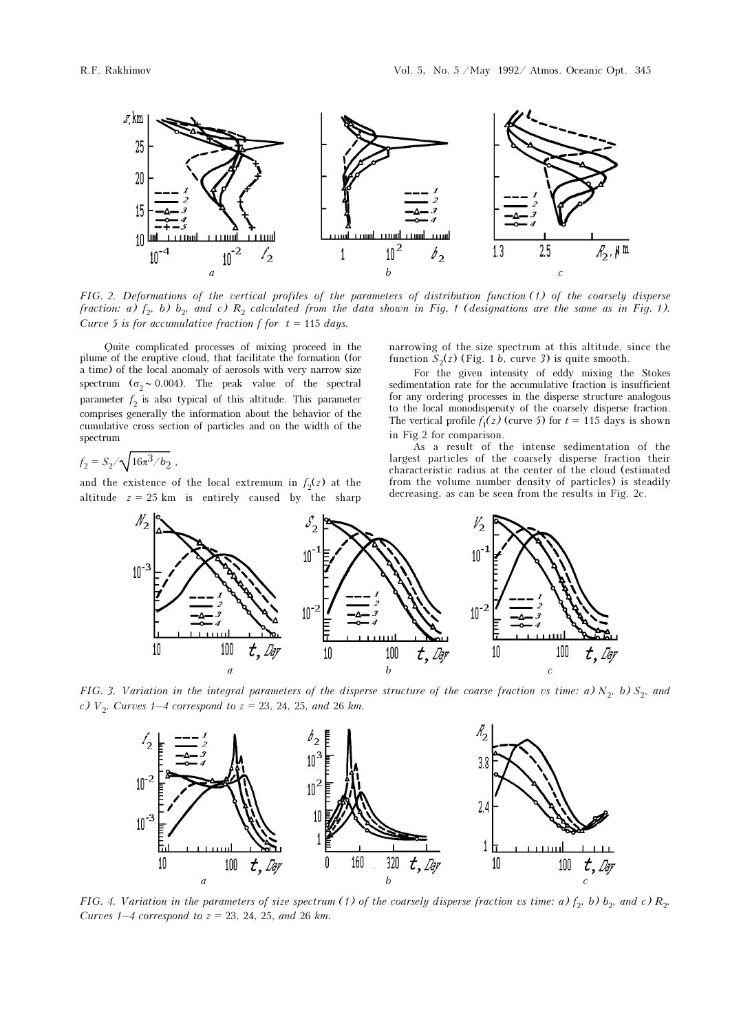

FIG. 2. Deformations of the vertical profiles of the parameters of distribution function (1) of the coarsely disperse fraction: a)  $f_2$ , b)  $b_2$ , and c)  $R_2$  calculated from the data shown in Fig. 1 (designations are the same as in Fig. 1). Curve 5 is for accumulative fraction f for  $t = 115$  days.

Quite complicated processes of mixing proceed in the plume of the eruptive cloud, that facilitate the formation (for a time) of the local anomaly of aerosols with very narrow size spectrum ( $\sigma$ <sub>2</sub> ∼ 0.004). The peak value of the spectral parameter  $f_2$  is also typical of this altitude. This parameter comprises generally the information about the behavior of the cumulative cross section of particles and on the width of the spectrum

$$
f_2 = S_2 / \sqrt{16\pi^3 / b_2} \; ,
$$

and the existence of the local extremum in  $f_2(z)$  at the altitude  $z = 25$  km is entirely caused by the sharp narrowing of the size spectrum at this altitude, since the function  $S_2(z)$  (Fig. 1 b, curve 3) is quite smooth.

For the given intensity of eddy mixing the Stokes sedimentation rate for the accumulative fraction is insufficient for any ordering processes in the disperse structure analogous to the local monodispersity of the coarsely disperse fraction. The vertical profile  $f_1(z)$  (curve 5) for  $t = 115$  days is shown in Fig.2 for comparison.

As a result of the intense sedimentation of the largest particles of the coarsely disperse fraction their characteristic radius at the center of the cloud (estimated from the volume number density of particles) is steadily decreasing, as can be seen from the results in Fig. 2c.



FIG. 3. Variation in the integral parameters of the disperse structure of the coarse fraction vs time: a)  $N_2$ , b)  $S_2$ , and c)  $V_2$ . Curves 1–4 correspond to  $z = 23$ , 24, 25, and 26 km.



FIG. 4. Variation in the parameters of size spectrum (1) of the coarsely disperse fraction vs time: a)  $f_2$ , b)  $b_2$ , and c)  $R_2$ . Curves  $1-4$  correspond to  $z = 23, 24, 25,$  and 26 km.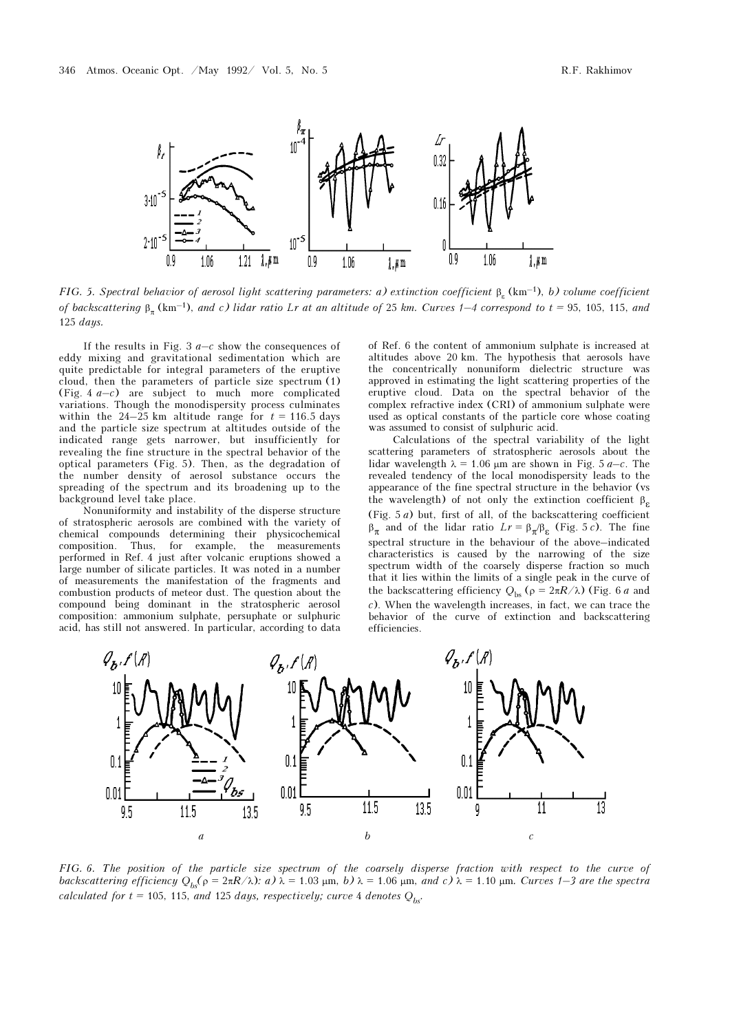

FIG. 5. Spectral behavior of aerosol light scattering parameters: a) extinction coefficient  $\beta_{\epsilon}$  (km<sup>-1</sup>), b) volume coefficient of backscattering  $\beta_n$  (km<sup>-1</sup>), and c) lidar ratio Lr at an altitude of 25 km. Curves 1–4 correspond to t = 95, 105, 115, and 125 days.

If the results in Fig. 3  $a-c$  show the consequences of eddy mixing and gravitational sedimentation which are quite predictable for integral parameters of the eruptive cloud, then the parameters of particle size spectrum (1) (Fig. 4  $a-c$ ) are subject to much more complicated variations. Though the monodispersity process culminates within the 24–25 km altitude range for  $t = 116.5$  days and the particle size spectrum at altitudes outside of the indicated range gets narrower, but insufficiently for revealing the fine structure in the spectral behavior of the optical parameters (Fig. 5). Then, as the degradation of the number density of aerosol substance occurs the spreading of the spectrum and its broadening up to the background level take place.

Nonuniformity and instability of the disperse structure of stratospheric aerosols are combined with the variety of chemical compounds determining their physicochemical composition. Thus, for example, the measurements performed in Ref. 4 just after volcanic eruptions showed a large number of silicate particles. It was noted in a number of measurements the manifestation of the fragments and combustion products of meteor dust. The question about the compound being dominant in the stratospheric aerosol composition: ammonium sulphate, persuphate or sulphuric acid, has still not answered. In particular, according to data of Ref. 6 the content of ammonium sulphate is increased at altitudes above 20 km. The hypothesis that aerosols have the concentrically nonuniform dielectric structure was approved in estimating the light scattering properties of the eruptive cloud. Data on the spectral behavior of the complex refractive index (CRI) of ammonium sulphate were used as optical constants of the particle core whose coating was assumed to consist of sulphuric acid.

Calculations of the spectral variability of the light scattering parameters of stratospheric aerosols about the lidar wavelength  $\lambda = 1.06$  μm are shown in Fig. 5 a–c. The revealed tendency of the local monodispersity leads to the appearance of the fine spectral structure in the behavior (vs the wavelength) of not only the extinction coefficient  $\beta_{\varepsilon}$ (Fig.  $5a$ ) but, first of all, of the backscattering coefficient  $\beta_{\pi}$  and of the lidar ratio  $Lr = \beta_{\pi}/\beta_{\epsilon}$  (Fig. 5 *c*). The fine spectral structure in the behaviour of the above–indicated characteristics is caused by the narrowing of the size spectrum width of the coarsely disperse fraction so much that it lies within the limits of a single peak in the curve of the backscattering efficiency  $Q_{bs}$  ( $\rho = 2\pi R/\lambda$ ) (Fig. 6 a and c). When the wavelength increases, in fact, we can trace the behavior of the curve of extinction and backscattering efficiencies.



FIG. 6. The position of the particle size spectrum of the coarsely disperse fraction with respect to the curve of backscattering efficiency  $Q_{bc}(\rho = 2\pi R/\lambda)$ : a)  $\lambda = 1.03$  μm, b)  $\lambda = 1.06$  μm, and c)  $\lambda = 1.10$  μm. Curves 1–3 are the spectra calculated for  $t = 105$ , 115, and 125 days, respectively; curve 4 denotes  $Q_{bs}$ .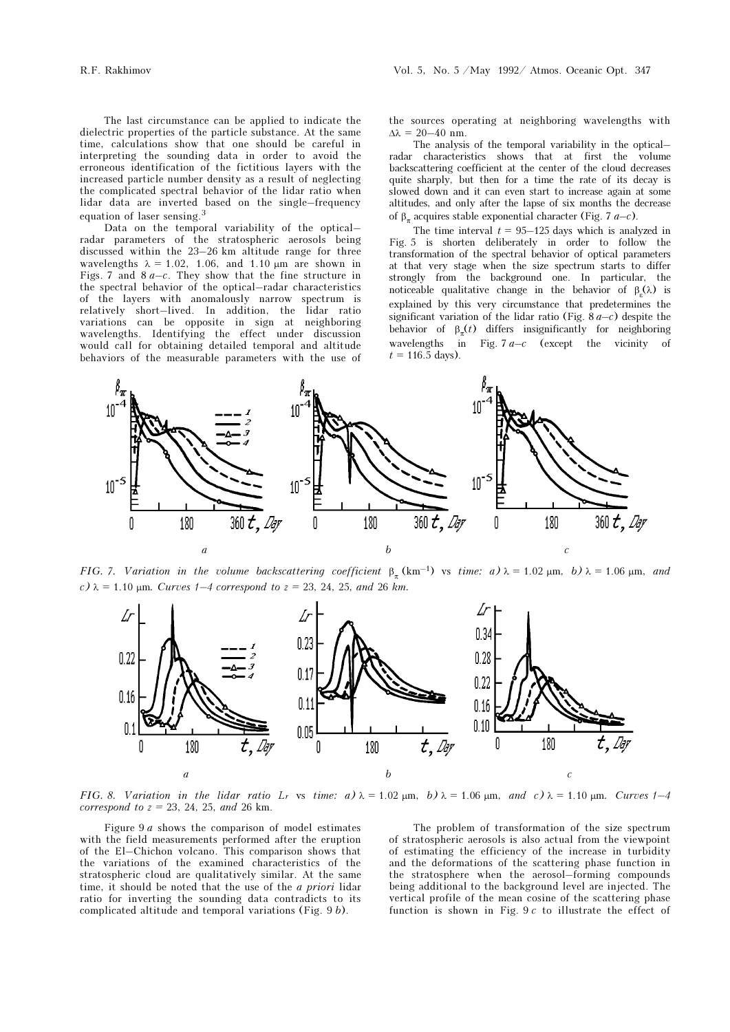The last circumstance can be applied to indicate the dielectric properties of the particle substance. At the same time, calculations show that one should be careful in interpreting the sounding data in order to avoid the erroneous identification of the fictitious layers with the increased particle number density as a result of neglecting the complicated spectral behavior of the lidar ratio when lidar data are inverted based on the single–frequency equation of laser sensing.<sup>3</sup>

Data on the temporal variability of the optical– radar parameters of the stratospheric aerosols being discussed within the 23–26 km altitude range for three wavelengths  $\lambda = 1.02$ , 1.06, and 1.10  $\mu$ m are shown in Figs. 7 and  $8a-c$ . They show that the fine structure in the spectral behavior of the optical–radar characteristics of the layers with anomalously narrow spectrum is relatively short–lived. In addition, the lidar ratio variations can be opposite in sign at neighboring wavelengths. Identifying the effect under discussion would call for obtaining detailed temporal and altitude behaviors of the measurable parameters with the use of

the sources operating at neighboring wavelengths with  $\Delta\lambda = 20 - 40$  nm.

The analysis of the temporal variability in the optical– radar characteristics shows that at first the volume backscattering coefficient at the center of the cloud decreases quite sharply, but then for a time the rate of its decay is slowed down and it can even start to increase again at some altitudes, and only after the lapse of six months the decrease of  $β_π$  acquires stable exponential character (Fig. 7 a–c).

The time interval  $t = 95-125$  days which is analyzed in Fig. 5 is shorten deliberately in order to follow the transformation of the spectral behavior of optical parameters at that very stage when the size spectrum starts to differ strongly from the background one. In particular, the noticeable qualitative change in the behavior of  $\beta_{\epsilon}(\lambda)$  is explained by this very circumstance that predetermines the significant variation of the lidar ratio (Fig.  $\frac{8a-c}{c}$ ) despite the behavior of  $\beta_{\pi}(t)$  differs insignificantly for neighboring wavelengths in Fig.  $7a-c$  (except the vicinity of  $t = 116.5$  days).



FIG. 7. Variation in the volume backscattering coefficient  $\beta_{\pi}$  (km<sup>-1</sup>) vs time: a)  $\lambda = 1.02 \mu m$ , b)  $\lambda = 1.06 \mu m$ , and c)  $\lambda = 1.10$  μm. Curves 1–4 correspond to  $z = 23$ , 24, 25, and 26 km.



FIG. 8. Variation in the lidar ratio L<sub>r</sub> vs time:  $a) \lambda = 1.02 \mu m$ ,  $b) \lambda = 1.06 \mu m$ , and  $c) \lambda = 1.10 \mu m$ . Curves 1–4 correspond to  $z = 23$ , 24, 25, and 26 km.

Figure 9 a shows the comparison of model estimates with the field measurements performed after the eruption of the El–Chichon volcano. This comparison shows that the variations of the examined characteristics of the stratospheric cloud are qualitatively similar. At the same time, it should be noted that the use of the a priori lidar ratio for inverting the sounding data contradicts to its complicated altitude and temporal variations (Fig. 9 b).

The problem of transformation of the size spectrum of stratospheric aerosols is also actual from the viewpoint of estimating the efficiency of the increase in turbidity and the deformations of the scattering phase function in the stratosphere when the aerosol–forming compounds being additional to the background level are injected. The vertical profile of the mean cosine of the scattering phase function is shown in Fig.  $9c$  to illustrate the effect of